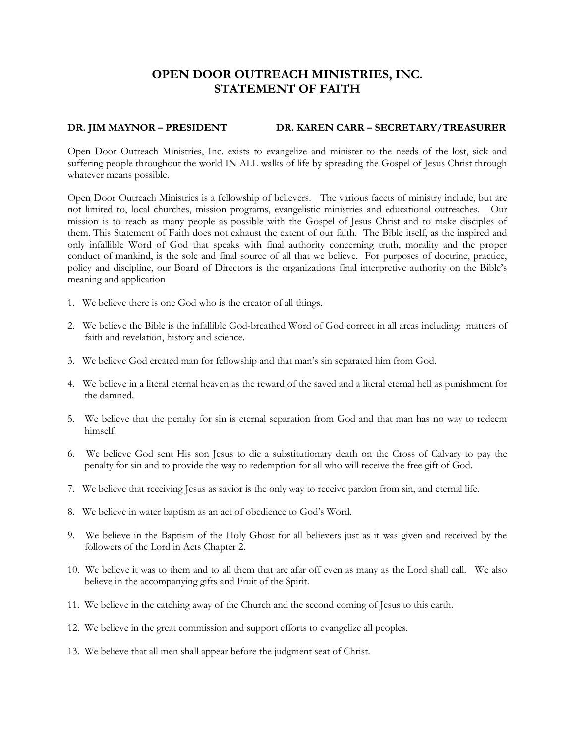# **OPEN DOOR OUTREACH MINISTRIES, INC. STATEMENT OF FAITH**

## **DR. JIM MAYNOR – PRESIDENT DR. KAREN CARR – SECRETARY/TREASURER**

Open Door Outreach Ministries, Inc. exists to evangelize and minister to the needs of the lost, sick and suffering people throughout the world IN ALL walks of life by spreading the Gospel of Jesus Christ through whatever means possible.

Open Door Outreach Ministries is a fellowship of believers. The various facets of ministry include, but are not limited to, local churches, mission programs, evangelistic ministries and educational outreaches. Our mission is to reach as many people as possible with the Gospel of Jesus Christ and to make disciples of them. This Statement of Faith does not exhaust the extent of our faith. The Bible itself, as the inspired and only infallible Word of God that speaks with final authority concerning truth, morality and the proper conduct of mankind, is the sole and final source of all that we believe. For purposes of doctrine, practice, policy and discipline, our Board of Directors is the organizations final interpretive authority on the Bible's meaning and application

- 1. We believe there is one God who is the creator of all things.
- 2. We believe the Bible is the infallible God-breathed Word of God correct in all areas including: matters of faith and revelation, history and science.
- 3. We believe God created man for fellowship and that man's sin separated him from God.
- 4. We believe in a literal eternal heaven as the reward of the saved and a literal eternal hell as punishment for the damned.
- 5. We believe that the penalty for sin is eternal separation from God and that man has no way to redeem himself.
- 6. We believe God sent His son Jesus to die a substitutionary death on the Cross of Calvary to pay the penalty for sin and to provide the way to redemption for all who will receive the free gift of God.
- 7. We believe that receiving Jesus as savior is the only way to receive pardon from sin, and eternal life.
- 8. We believe in water baptism as an act of obedience to God's Word.
- 9. We believe in the Baptism of the Holy Ghost for all believers just as it was given and received by the followers of the Lord in Acts Chapter 2.
- 10. We believe it was to them and to all them that are afar off even as many as the Lord shall call. We also believe in the accompanying gifts and Fruit of the Spirit.
- 11. We believe in the catching away of the Church and the second coming of Jesus to this earth.
- 12. We believe in the great commission and support efforts to evangelize all peoples.
- 13. We believe that all men shall appear before the judgment seat of Christ.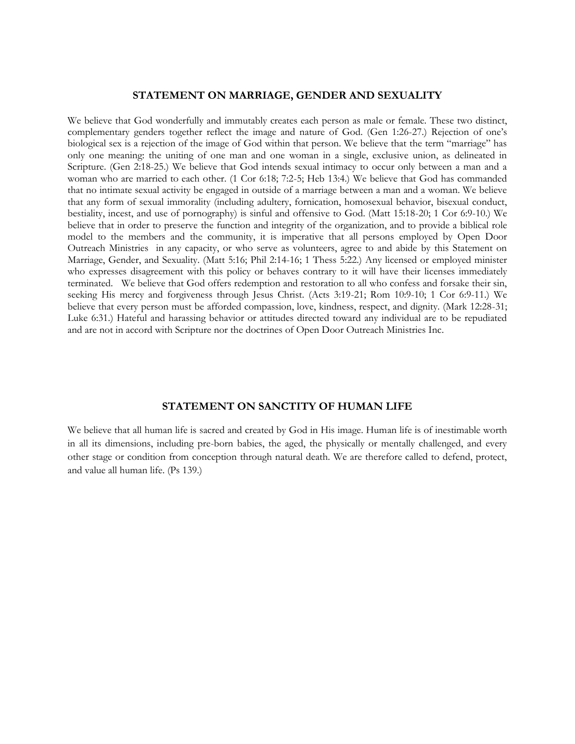### **STATEMENT ON MARRIAGE, GENDER AND SEXUALITY**

We believe that God wonderfully and immutably creates each person as male or female. These two distinct, complementary genders together reflect the image and nature of God. (Gen 1:26-27.) Rejection of one's biological sex is a rejection of the image of God within that person. We believe that the term "marriage" has only one meaning: the uniting of one man and one woman in a single, exclusive union, as delineated in Scripture. (Gen 2:18-25.) We believe that God intends sexual intimacy to occur only between a man and a woman who are married to each other. (1 Cor 6:18; 7:2-5; Heb 13:4.) We believe that God has commanded that no intimate sexual activity be engaged in outside of a marriage between a man and a woman. We believe that any form of sexual immorality (including adultery, fornication, homosexual behavior, bisexual conduct, bestiality, incest, and use of pornography) is sinful and offensive to God. (Matt 15:18-20; 1 Cor 6:9-10.) We believe that in order to preserve the function and integrity of the organization, and to provide a biblical role model to the members and the community, it is imperative that all persons employed by Open Door Outreach Ministries in any capacity, or who serve as volunteers, agree to and abide by this Statement on Marriage, Gender, and Sexuality. (Matt 5:16; Phil 2:14-16; 1 Thess 5:22.) Any licensed or employed minister who expresses disagreement with this policy or behaves contrary to it will have their licenses immediately terminated. We believe that God offers redemption and restoration to all who confess and forsake their sin, seeking His mercy and forgiveness through Jesus Christ. (Acts 3:19-21; Rom 10:9-10; 1 Cor 6:9-11.) We believe that every person must be afforded compassion, love, kindness, respect, and dignity. (Mark 12:28-31; Luke 6:31.) Hateful and harassing behavior or attitudes directed toward any individual are to be repudiated and are not in accord with Scripture nor the doctrines of Open Door Outreach Ministries Inc.

#### **STATEMENT ON SANCTITY OF HUMAN LIFE**

We believe that all human life is sacred and created by God in His image. Human life is of inestimable worth in all its dimensions, including pre-born babies, the aged, the physically or mentally challenged, and every other stage or condition from conception through natural death. We are therefore called to defend, protect, and value all human life. (Ps 139.)